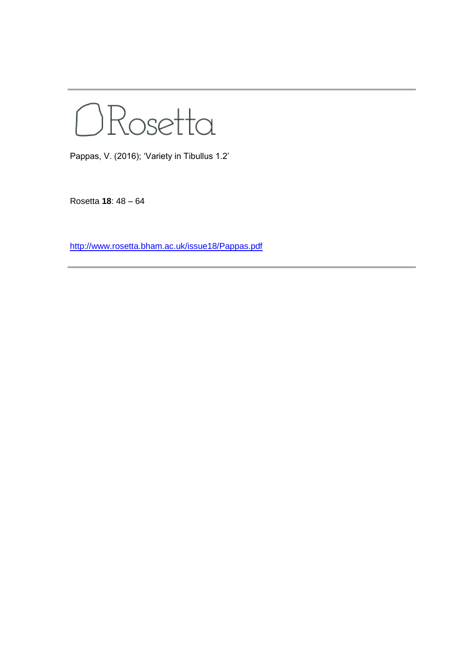ORosetta

Pappas, V. (2016); 'Variety in Tibullus 1.2'

Rosetta **18**: 48 – 64

<http://www.rosetta.bham.ac.uk/issue18/Pappas.pdf>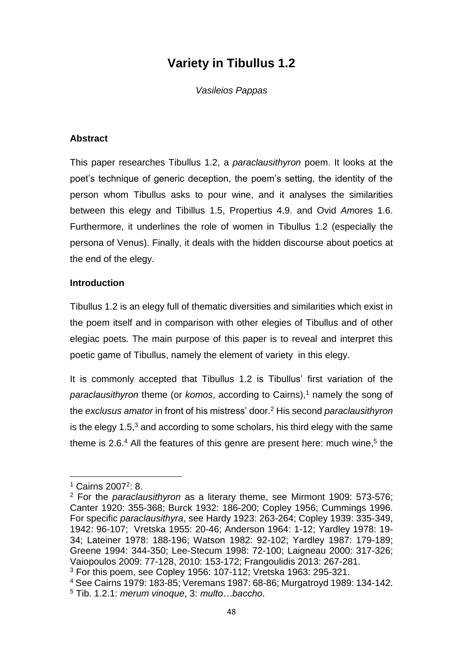# **Variety in Tibullus 1.2**

*Vasileios Pappas*

### **Abstract**

This paper researches Tibullus 1.2, a *paraclausithyron* poem. It looks at the poet's technique of generic deception, the poem's setting, the identity of the person whom Tibullus asks to pour wine, and it analyses the similarities between this elegy and Tibillus 1.5, Propertius 4.9. and Ovid *Am*ores 1.6. Furthermore, it underlines the role of women in Tibullus 1.2 (especially the persona of Venus). Finally, it deals with the hidden discourse about poetics at the end of the elegy.

#### **Introduction**

Tibullus 1.2 is an elegy full of thematic diversities and similarities which exist in the poem itself and in comparison with other elegies of Tibullus and of other elegiac poets. The main purpose of this paper is to reveal and interpret this poetic game of Tibullus, namely the element of variety in this elegy.

It is commonly accepted that Tibullus 1.2 is Tibullus' first variation of the *paraclausithyron* theme (or *komos*, according to Cairns),<sup>1</sup> namely the song of the *exclusus amator* in front of his mistress' door.<sup>2</sup> His second *paraclausithyron* is the elegy  $1.5<sup>3</sup>$  and according to some scholars, his third elegy with the same theme is 2.6.<sup>4</sup> All the features of this genre are present here: much wine,<sup>5</sup> the

<sup>&</sup>lt;sup>1</sup> Cairns 2007<sup>2</sup>: 8.

<sup>2</sup> For the *paraclausithyron* as a literary theme, see Mirmont 1909: 573-576; Canter 1920: 355-368; Burck 1932: 186-200; Copley 1956; Cummings 1996. For specific *paraclausithyra*, see Hardy 1923: 263-264; Copley 1939: 335-349, 1942: 96-107; Vretska 1955: 20-46; Anderson 1964: 1-12; Yardley 1978: 19- 34; Lateiner 1978: 188-196; Watson 1982: 92-102; Yardley 1987: 179-189; Greene 1994: 344-350; Lee-Stecum 1998: 72-100; Laigneau 2000: 317-326; Vaiopoulos 2009: 77-128, 2010: 153-172; Frangoulidis 2013: 267-281.

<sup>3</sup> For this poem, see Copley 1956: 107-112; Vretska 1963: 295-321.

<sup>4</sup> See Cairns 1979: 183-85; Veremans 1987: 68-86; Murgatroyd 1989: 134-142. <sup>5</sup> Tib. 1.2.1: *merum vinoque*, 3: *multo…baccho*.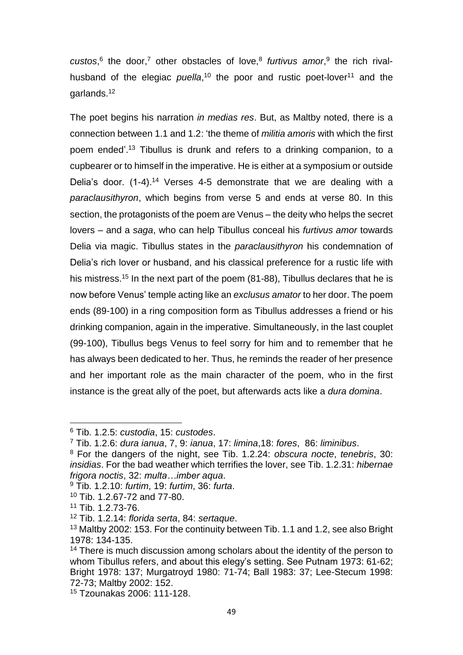custos,<sup>6</sup> the door,<sup>7</sup> other obstacles of love,<sup>8</sup> furtivus amor,<sup>9</sup> the rich rivalhusband of the elegiac *puella*,<sup>10</sup> the poor and rustic poet-lover<sup>11</sup> and the garlands.<sup>12</sup>

The poet begins his narration *in medias res*. But, as Maltby noted, there is a connection between 1.1 and 1.2: 'the theme of *militia amoris* with which the first poem ended'.<sup>13</sup> Tibullus is drunk and refers to a drinking companion, to a cupbearer or to himself in the imperative. He is either at a symposium or outside Delia's door. (1-4).<sup>14</sup> Verses 4-5 demonstrate that we are dealing with a *paraclausithyron*, which begins from verse 5 and ends at verse 80. In this section, the protagonists of the poem are Venus – the deity who helps the secret lovers – and a *saga*, who can help Tibullus conceal his *furtivus amor* towards Delia via magic. Tibullus states in the *paraclausithyron* his condemnation of Delia's rich lover or husband, and his classical preference for a rustic life with his mistress.<sup>15</sup> In the next part of the poem (81-88), Tibullus declares that he is now before Venus' temple acting like an *exclusus amator* to her door. The poem ends (89-100) in a ring composition form as Tibullus addresses a friend or his drinking companion, again in the imperative. Simultaneously, in the last couplet (99-100), Tibullus begs Venus to feel sorry for him and to remember that he has always been dedicated to her. Thus, he reminds the reader of her presence and her important role as the main character of the poem, who in the first instance is the great ally of the poet, but afterwards acts like a *dura domina*.

- <sup>9</sup> Tib. 1.2.10: *furtim*, 19: *furtim*, 36: *furta*.
- <sup>10</sup> Tib. 1.2.67-72 and 77-80.

<sup>6</sup> Tib. 1.2.5: *custodia*, 15: *custodes*.

<sup>7</sup> Tib. 1.2.6: *dura ianua*, 7, 9: *ianua*, 17: *limina*,18: *fores*, 86: *liminibus*.

<sup>8</sup> For the dangers of the night, see Tib. 1.2.24: *obscura nocte*, *tenebris*, 30: *insidias*. For the bad weather which terrifies the lover, see Tib. 1.2.31: *hibernae frigora noctis*, 32: *multa…imber aqua*.

<sup>11</sup> Tib. 1.2.73-76.

<sup>12</sup> Tib. 1.2.14: *florida serta*, 84: *sertaque*.

<sup>&</sup>lt;sup>13</sup> Maltby 2002: 153. For the continuity between Tib. 1.1 and 1.2, see also Bright 1978: 134-135.

<sup>&</sup>lt;sup>14</sup> There is much discussion among scholars about the identity of the person to whom Tibullus refers, and about this elegy's setting. See Putnam 1973: 61-62; Bright 1978: 137; Murgatroyd 1980: 71-74; Ball 1983: 37; Lee-Stecum 1998: 72-73; Maltby 2002: 152.

<sup>15</sup> Tzounakas 2006: 111-128.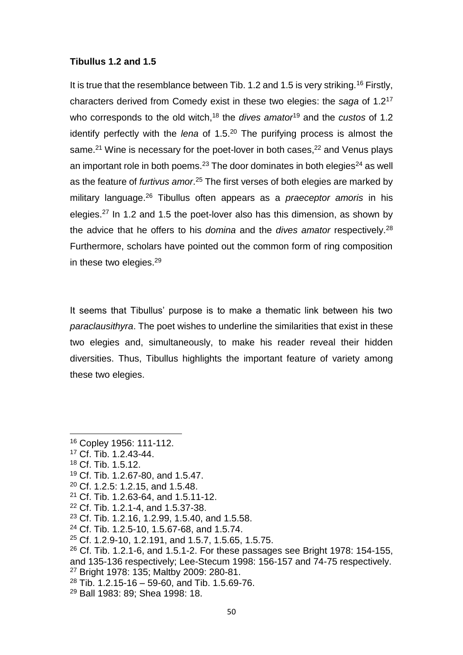### **Tibullus 1.2 and 1.5**

It is true that the resemblance between Tib. 1.2 and 1.5 is very striking.<sup>16</sup> Firstly, characters derived from Comedy exist in these two elegies: the *saga* of 1.2<sup>17</sup> who corresponds to the old witch,<sup>18</sup> the *dives amator*<sup>19</sup> and the *custos* of 1.2 identify perfectly with the *lena* of 1.5.<sup>20</sup> The purifying process is almost the same.<sup>21</sup> Wine is necessary for the poet-lover in both cases,<sup>22</sup> and Venus plays an important role in both poems.<sup>23</sup> The door dominates in both elegies<sup>24</sup> as well as the feature of *furtivus amor*. <sup>25</sup> The first verses of both elegies are marked by military language.<sup>26</sup> Tibullus often appears as a *praeceptor amoris* in his elegies.<sup>27</sup> In 1.2 and 1.5 the poet-lover also has this dimension, as shown by the advice that he offers to his *domina* and the *dives amator* respectively.<sup>28</sup> Furthermore, scholars have pointed out the common form of ring composition in these two elegies.<sup>29</sup>

It seems that Tibullus' purpose is to make a thematic link between his two *paraclausithyra*. The poet wishes to underline the similarities that exist in these two elegies and, simultaneously, to make his reader reveal their hidden diversities. Thus, Tibullus highlights the important feature of variety among these two elegies.

<sup>18</sup> Cf. Tib. 1.5.12.

- <sup>19</sup> Cf. Tib. 1.2.67-80, and 1.5.47.
- <sup>20</sup> Cf. 1.2.5: 1.2.15, and 1.5.48.
- <sup>21</sup> Cf. Tib. 1.2.63-64, and 1.5.11-12.
- <sup>22</sup> Cf. Tib. 1.2.1-4, and 1.5.37-38.
- <sup>23</sup> Cf. Tib. 1.2.16, 1.2.99, 1.5.40, and 1.5.58.
- <sup>24</sup> Cf. Tib. 1.2.5-10, 1.5.67-68, and 1.5.74.
- <sup>25</sup> Cf. 1.2.9-10, 1.2.191, and 1.5.7, 1.5.65, 1.5.75.
- $26$  Cf. Tib. 1.2.1-6, and 1.5.1-2. For these passages see Bright 1978: 154-155, and 135-136 respectively; Lee-Stecum 1998: 156-157 and 74-75 respectively.
- <sup>27</sup> Bright 1978: 135; Maltby 2009: 280-81.
- $28$  Tib. 1.2.15-16 59-60, and Tib. 1.5.69-76.
- <sup>29</sup> Ball 1983: 89; Shea 1998: 18.

<sup>16</sup> Copley 1956: 111-112.

<sup>17</sup> Cf. Tib. 1.2.43-44.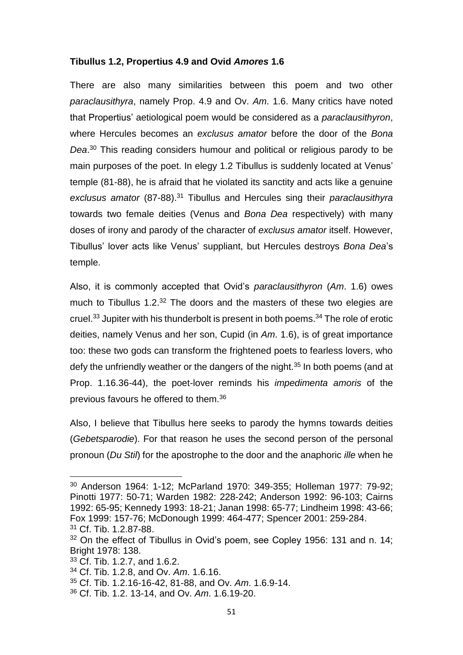#### **Tibullus 1.2, Propertius 4.9 and Ovid** *Amores* **1.6**

There are also many similarities between this poem and two other *paraclausithyra*, namely Prop. 4.9 and Ov. *Am*. 1.6. Many critics have noted that Propertius' aetiological poem would be considered as a *paraclausithyron*, where Hercules becomes an *exclusus amator* before the door of the *Bona Dea*. <sup>30</sup> This reading considers humour and political or religious parody to be main purposes of the poet. In elegy 1.2 Tibullus is suddenly located at Venus' temple (81-88), he is afraid that he violated its sanctity and acts like a genuine *exclusus amator* (87-88).<sup>31</sup> Tibullus and Hercules sing their *paraclausithyra* towards two female deities (Venus and *Bona Dea* respectively) with many doses of irony and parody of the character of *exclusus amator* itself. However, Tibullus' lover acts like Venus' suppliant, but Hercules destroys *Bona Dea*'s temple.

Also, it is commonly accepted that Ovid's *paraclausithyron* (*Am*. 1.6) owes much to Tibullus 1.2.<sup>32</sup> The doors and the masters of these two elegies are cruel.<sup>33</sup> Jupiter with his thunderbolt is present in both poems.<sup>34</sup> The role of erotic deities, namely Venus and her son, Cupid (in *Am*. 1.6), is of great importance too: these two gods can transform the frightened poets to fearless lovers, who defy the unfriendly weather or the dangers of the night.<sup>35</sup> In both poems (and at Prop. 1.16.36-44), the poet-lover reminds his *impedimenta amoris* of the previous favours he offered to them.<sup>36</sup>

Also, I believe that Tibullus here seeks to parody the hymns towards deities (*Gebetsparodie*). For that reason he uses the second person of the personal pronoun (*Du Stil*) for the apostrophe to the door and the anaphoric *ille* when he

<sup>33</sup> Cf. Tib. 1.2.7, and 1.6.2.

- <sup>34</sup> Cf. Tib. 1.2.8, and Ov. *Am*. 1.6.16.
- <sup>35</sup> Cf. Tib. 1.2.16-16-42, 81-88, and Ov. *Am*. 1.6.9-14.
- <sup>36</sup> Cf. Tib. 1.2. 13-14, and Ov. *Am*. 1.6.19-20.

<sup>30</sup> Anderson 1964: 1-12; McParland 1970: 349-355; Holleman 1977: 79-92; Pinotti 1977: 50-71; Warden 1982: 228-242; Anderson 1992: 96-103; Cairns 1992: 65-95; Kennedy 1993: 18-21; Janan 1998: 65-77; Lindheim 1998: 43-66; Fox 1999: 157-76; McDonough 1999: 464-477; Spencer 2001: 259-284. <sup>31</sup> Cf. Tib. 1.2.87-88.

<sup>&</sup>lt;sup>32</sup> On the effect of Tibullus in Ovid's poem, see Copley 1956: 131 and n. 14; Bright 1978: 138.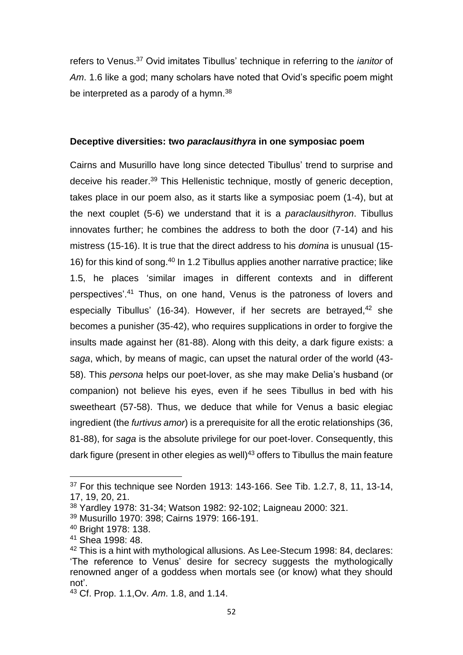refers to Venus.<sup>37</sup> Ovid imitates Tibullus' technique in referring to the *ianitor* of *Am*. 1.6 like a god; many scholars have noted that Ovid's specific poem might be interpreted as a parody of a hymn.<sup>38</sup>

### **Deceptive diversities: two** *paraclausithyra* **in one symposiac poem**

Cairns and Musurillo have long since detected Tibullus' trend to surprise and deceive his reader.<sup>39</sup> This Hellenistic technique, mostly of generic deception, takes place in our poem also, as it starts like a symposiac poem (1-4), but at the next couplet (5-6) we understand that it is a *paraclausithyron*. Tibullus innovates further; he combines the address to both the door (7-14) and his mistress (15-16). It is true that the direct address to his *domina* is unusual (15- 16) for this kind of song.<sup>40</sup> In 1.2 Tibullus applies another narrative practice; like 1.5, he places 'similar images in different contexts and in different perspectives'. <sup>41</sup> Thus, on one hand, Venus is the patroness of lovers and especially Tibullus' (16-34). However, if her secrets are betrayed,<sup>42</sup> she becomes a punisher (35-42), who requires supplications in order to forgive the insults made against her (81-88). Along with this deity, a dark figure exists: a *saga*, which, by means of magic, can upset the natural order of the world (43- 58). This *persona* helps our poet-lover, as she may make Delia's husband (or companion) not believe his eyes, even if he sees Tibullus in bed with his sweetheart (57-58). Thus, we deduce that while for Venus a basic elegiac ingredient (the *furtivus amor*) is a prerequisite for all the erotic relationships (36, 81-88), for *saga* is the absolute privilege for our poet-lover. Consequently, this dark figure (present in other elegies as well) <sup>43</sup> offers to Tibullus the main feature

<sup>37</sup> For this technique see Norden 1913: 143-166. See Tib. 1.2.7, 8, 11, 13-14, 17, 19, 20, 21.

<sup>38</sup> Yardley 1978: 31-34; Watson 1982: 92-102; Laigneau 2000: 321.

<sup>39</sup> Musurillo 1970: 398; Cairns 1979: 166-191.

<sup>40</sup> Bright 1978: 138.

<sup>41</sup> Shea 1998: 48.

<sup>42</sup> This is a hint with mythological allusions. As Lee-Stecum 1998: 84, declares: 'The reference to Venus' desire for secrecy suggests the mythologically renowned anger of a goddess when mortals see (or know) what they should not'.

<sup>43</sup> Cf. Prop. 1.1,Ov. *Am*. 1.8, and 1.14.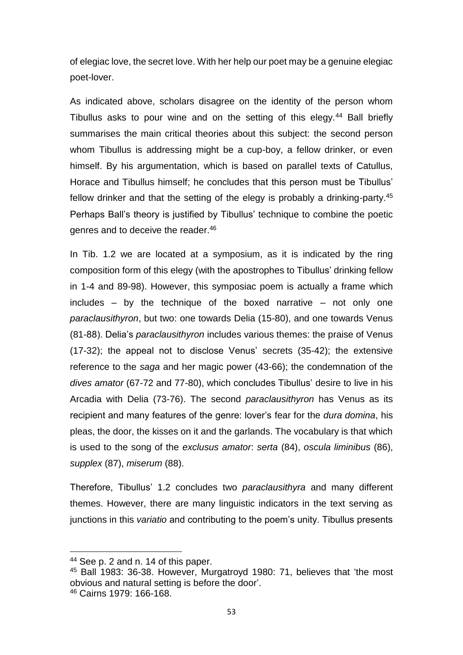of elegiac love, the secret love. With her help our poet may be a genuine elegiac poet-lover.

As indicated above, scholars disagree on the identity of the person whom Tibullus asks to pour wine and on the setting of this elegy.<sup>44</sup> Ball briefly summarises the main critical theories about this subject: the second person whom Tibullus is addressing might be a cup-boy, a fellow drinker, or even himself. By his argumentation, which is based on parallel texts of Catullus, Horace and Tibullus himself; he concludes that this person must be Tibullus' fellow drinker and that the setting of the elegy is probably a drinking-party.<sup>45</sup> Perhaps Ball's theory is justified by Tibullus' technique to combine the poetic genres and to deceive the reader.<sup>46</sup>

In Tib. 1.2 we are located at a symposium, as it is indicated by the ring composition form of this elegy (with the apostrophes to Tibullus' drinking fellow in 1-4 and 89-98). However, this symposiac poem is actually a frame which  $includes - by the technique of the boxed narrative - not only one$ *paraclausithyron*, but two: one towards Delia (15-80), and one towards Venus (81-88). Delia's *paraclausithyron* includes various themes: the praise of Venus (17-32); the appeal not to disclose Venus' secrets (35-42); the extensive reference to the *saga* and her magic power (43-66); the condemnation of the *dives amator* (67-72 and 77-80), which concludes Tibullus' desire to live in his Arcadia with Delia (73-76). The second *paraclausithyron* has Venus as its recipient and many features of the genre: lover's fear for the *dura domina*, his pleas, the door, the kisses on it and the garlands. The vocabulary is that which is used to the song of the *exclusus amator*: *serta* (84), *oscula liminibus* (86), *supplex* (87), *miserum* (88).

Therefore, Tibullus' 1.2 concludes two *paraclausithyra* and many different themes. However, there are many linguistic indicators in the text serving as junctions in this *variatio* and contributing to the poem's unity. Tibullus presents

<sup>44</sup> See p. 2 and n. 14 of this paper.

<sup>45</sup> Ball 1983: 36-38. However, Murgatroyd 1980: 71, believes that 'the most obvious and natural setting is before the door'. <sup>46</sup> Cairns 1979: 166-168.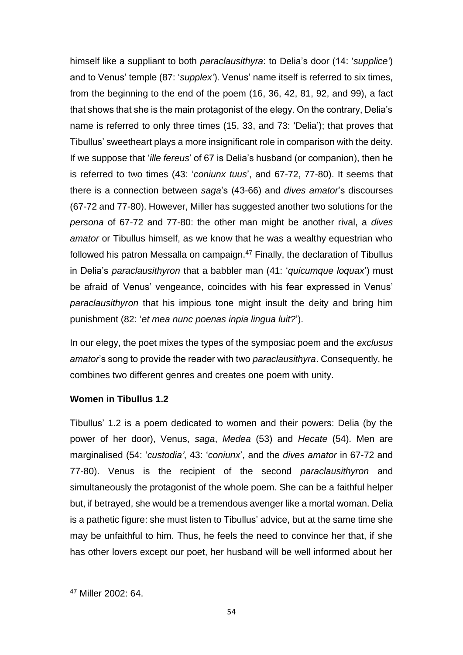himself like a suppliant to both *paraclausithyra*: to Delia's door (14: '*supplice'*) and to Venus' temple (87: '*supplex'*). Venus' name itself is referred to six times, from the beginning to the end of the poem (16, 36, 42, 81, 92, and 99), a fact that shows that she is the main protagonist of the elegy. On the contrary, Delia's name is referred to only three times (15, 33, and 73: 'Delia'); that proves that Tibullus' sweetheart plays a more insignificant role in comparison with the deity. If we suppose that '*ille fereus*' of 67 is Delia's husband (or companion), then he is referred to two times (43: '*coniunx tuus*', and 67-72, 77-80). It seems that there is a connection between *saga*'s (43-66) and *dives amator*'s discourses (67-72 and 77-80). However, Miller has suggested another two solutions for the *persona* of 67-72 and 77-80: the other man might be another rival, a *dives amator* or Tibullus himself, as we know that he was a wealthy equestrian who followed his patron Messalla on campaign. $47$  Finally, the declaration of Tibullus in Delia's *paraclausithyron* that a babbler man (41: '*quicumque loquax*') must be afraid of Venus' vengeance, coincides with his fear expressed in Venus' *paraclausithyron* that his impious tone might insult the deity and bring him punishment (82: '*et mea nunc poenas inpia lingua luit?*').

In our elegy, the poet mixes the types of the symposiac poem and the *exclusus amator*'s song to provide the reader with two *paraclausithyra*. Consequently, he combines two different genres and creates one poem with unity.

## **Women in Tibullus 1.2**

Tibullus' 1.2 is a poem dedicated to women and their powers: Delia (by the power of her door), Venus, *saga*, *Medea* (53) and *Hecate* (54). Men are marginalised (54: '*custodia'*, 43: '*coniunx*', and the *dives amator* in 67-72 and 77-80). Venus is the recipient of the second *paraclausithyron* and simultaneously the protagonist of the whole poem. She can be a faithful helper but, if betrayed, she would be a tremendous avenger like a mortal woman. Delia is a pathetic figure: she must listen to Tibullus' advice, but at the same time she may be unfaithful to him. Thus, he feels the need to convince her that, if she has other lovers except our poet, her husband will be well informed about her

 $\overline{a}$ 

<sup>47</sup> Miller 2002: 64.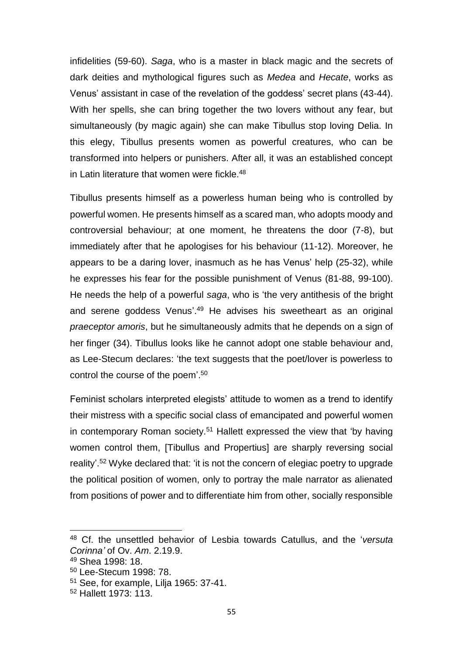infidelities (59-60). *Saga*, who is a master in black magic and the secrets of dark deities and mythological figures such as *Medea* and *Hecate*, works as Venus' assistant in case of the revelation of the goddess' secret plans (43-44). With her spells, she can bring together the two lovers without any fear, but simultaneously (by magic again) she can make Tibullus stop loving Delia. In this elegy, Tibullus presents women as powerful creatures, who can be transformed into helpers or punishers. After all, it was an established concept in Latin literature that women were fickle.<sup>48</sup>

Tibullus presents himself as a powerless human being who is controlled by powerful women. He presents himself as a scared man, who adopts moody and controversial behaviour; at one moment, he threatens the door (7-8), but immediately after that he apologises for his behaviour (11-12). Moreover, he appears to be a daring lover, inasmuch as he has Venus' help (25-32), while he expresses his fear for the possible punishment of Venus (81-88, 99-100). He needs the help of a powerful *saga*, who is 'the very antithesis of the bright and serene goddess Venus'.<sup>49</sup> He advises his sweetheart as an original *praeceptor amoris*, but he simultaneously admits that he depends on a sign of her finger (34). Tibullus looks like he cannot adopt one stable behaviour and, as Lee-Stecum declares: 'the text suggests that the poet/lover is powerless to control the course of the poem'. 50

Feminist scholars interpreted elegists' attitude to women as a trend to identify their mistress with a specific social class of emancipated and powerful women in contemporary Roman society.<sup>51</sup> Hallett expressed the view that 'by having women control them, [Tibullus and Propertius] are sharply reversing social reality'.<sup>52</sup> Wyke declared that: 'it is not the concern of elegiac poetry to upgrade the political position of women, only to portray the male narrator as alienated from positions of power and to differentiate him from other, socially responsible

 $\overline{a}$ 

<sup>48</sup> Cf. the unsettled behavior of Lesbia towards Catullus, and the '*versuta Corinna'* of Ov. *Am*. 2.19.9.

<sup>49</sup> Shea 1998: 18.

<sup>50</sup> Lee-Stecum 1998: 78.

<sup>51</sup> See, for example, Lilja 1965: 37-41.

<sup>52</sup> Hallett 1973: 113.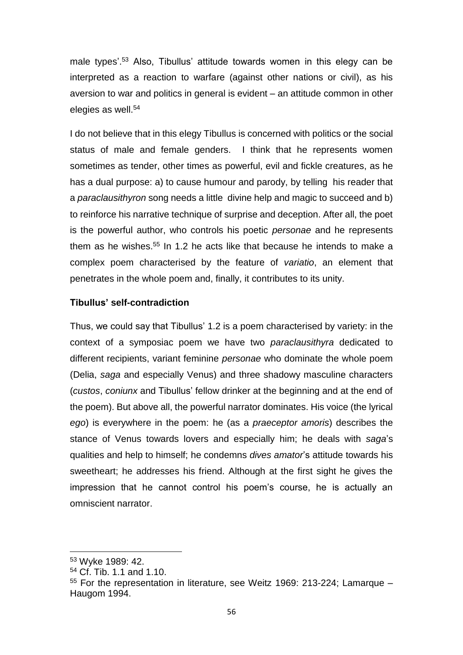male types'. <sup>53</sup> Also, Tibullus' attitude towards women in this elegy can be interpreted as a reaction to warfare (against other nations or civil), as his aversion to war and politics in general is evident – an attitude common in other elegies as well.<sup>54</sup>

I do not believe that in this elegy Tibullus is concerned with politics or the social status of male and female genders. I think that he represents women sometimes as tender, other times as powerful, evil and fickle creatures, as he has a dual purpose: a) to cause humour and parody, by telling his reader that a *paraclausithyron* song needs a little divine help and magic to succeed and b) to reinforce his narrative technique of surprise and deception. After all, the poet is the powerful author, who controls his poetic *personae* and he represents them as he wishes.<sup>55</sup> In 1.2 he acts like that because he intends to make a complex poem characterised by the feature of *variatio*, an element that penetrates in the whole poem and, finally, it contributes to its unity.

## **Tibullus' self-contradiction**

Thus, we could say that Tibullus' 1.2 is a poem characterised by variety: in the context of a symposiac poem we have two *paraclausithyra* dedicated to different recipients, variant feminine *personae* who dominate the whole poem (Delia, *saga* and especially Venus) and three shadowy masculine characters (*custos*, *coniunx* and Tibullus' fellow drinker at the beginning and at the end of the poem). But above all, the powerful narrator dominates. His voice (the lyrical *ego*) is everywhere in the poem: he (as a *praeceptor amoris*) describes the stance of Venus towards lovers and especially him; he deals with *saga*'s qualities and help to himself; he condemns *dives amator*'s attitude towards his sweetheart; he addresses his friend. Although at the first sight he gives the impression that he cannot control his poem's course, he is actually an omniscient narrator.

<sup>53</sup> Wyke 1989: 42.

<sup>54</sup> Cf. Tib. 1.1 and 1.10.

<sup>55</sup> For the representation in literature, see Weitz 1969: 213-224; Lamarque – Haugom 1994.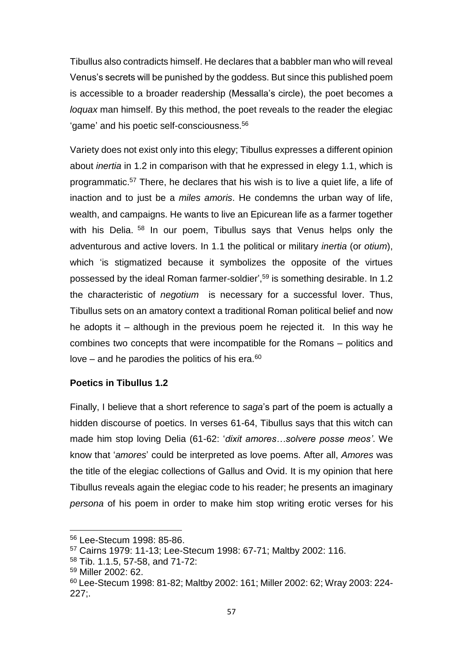Tibullus also contradicts himself. He declares that a babbler man who will reveal Venus's secrets will be punished by the goddess. But since this published poem is accessible to a broader readership (Messalla's circle), the poet becomes a *loquax* man himself. By this method, the poet reveals to the reader the elegiac 'game' and his poetic self-consciousness.<sup>56</sup>

Variety does not exist only into this elegy; Tibullus expresses a different opinion about *inertia* in 1.2 in comparison with that he expressed in elegy 1.1, which is programmatic.<sup>57</sup> There, he declares that his wish is to live a quiet life, a life of inaction and to just be a *miles amoris*. He condemns the urban way of life, wealth, and campaigns. He wants to live an Epicurean life as a farmer together with his Delia. <sup>58</sup> In our poem, Tibullus says that Venus helps only the adventurous and active lovers. In 1.1 the political or military *inertia* (or *otium*), which 'is stigmatized because it symbolizes the opposite of the virtues possessed by the ideal Roman farmer-soldier', <sup>59</sup> is something desirable. In 1.2 the characteristic of *negotium* is necessary for a successful lover. Thus, Tibullus sets on an amatory context a traditional Roman political belief and now he adopts it – although in the previous poem he rejected it. In this way he combines two concepts that were incompatible for the Romans – politics and love – and he parodies the politics of his era. $60$ 

## **Poetics in Tibullus 1.2**

Finally, I believe that a short reference to *saga*'s part of the poem is actually a hidden discourse of poetics. In verses 61-64, Tibullus says that this witch can made him stop loving Delia (61-62: '*dixit amores…solvere posse meos'*. We know that '*amores*' could be interpreted as love poems. After all, *Amores* was the title of the elegiac collections of Gallus and Ovid. It is my opinion that here Tibullus reveals again the elegiac code to his reader; he presents an imaginary *persona* of his poem in order to make him stop writing erotic verses for his

 $\overline{a}$ 

<sup>56</sup> Lee-Stecum 1998: 85-86.

<sup>57</sup> Cairns 1979: 11-13; Lee-Stecum 1998: 67-71; Maltby 2002: 116.

<sup>58</sup> Tib. 1.1.5, 57-58, and 71-72:

<sup>59</sup> Miller 2002: 62.

<sup>60</sup> Lee-Stecum 1998: 81-82; Maltby 2002: 161; Miller 2002: 62; Wray 2003: 224- 227;.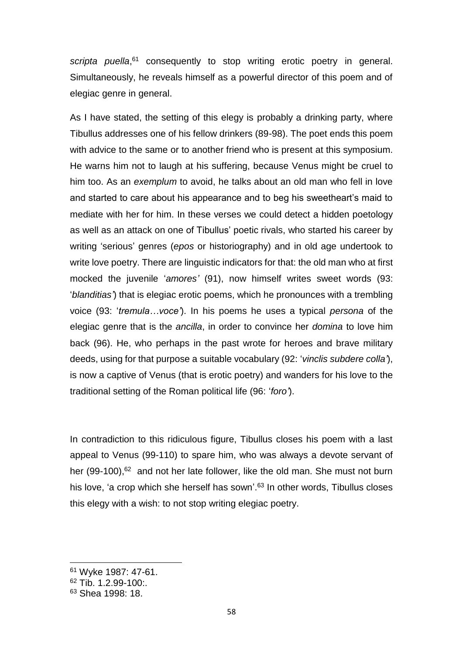scripta puella,<sup>61</sup> consequently to stop writing erotic poetry in general. Simultaneously, he reveals himself as a powerful director of this poem and of elegiac genre in general.

As I have stated, the setting of this elegy is probably a drinking party, where Tibullus addresses one of his fellow drinkers (89-98). The poet ends this poem with advice to the same or to another friend who is present at this symposium. He warns him not to laugh at his suffering, because Venus might be cruel to him too. As an *exemplum* to avoid, he talks about an old man who fell in love and started to care about his appearance and to beg his sweetheart's maid to mediate with her for him. In these verses we could detect a hidden poetology as well as an attack on one of Tibullus' poetic rivals, who started his career by writing 'serious' genres (*epos* or historiography) and in old age undertook to write love poetry. There are linguistic indicators for that: the old man who at first mocked the juvenile '*amores'* (91), now himself writes sweet words (93: '*blanditias'*) that is elegiac erotic poems, which he pronounces with a trembling voice (93: '*tremula…voce'*). In his poems he uses a typical *persona* of the elegiac genre that is the *ancilla*, in order to convince her *domina* to love him back (96). He, who perhaps in the past wrote for heroes and brave military deeds, using for that purpose a suitable vocabulary (92: '*vinclis subdere colla'*), is now a captive of Venus (that is erotic poetry) and wanders for his love to the traditional setting of the Roman political life (96: '*foro'*).

In contradiction to this ridiculous figure, Tibullus closes his poem with a last appeal to Venus (99-110) to spare him, who was always a devote servant of her (99-100),<sup>62</sup> and not her late follower, like the old man. She must not burn his love, 'a crop which she herself has sown'.<sup>63</sup> In other words, Tibullus closes this elegy with a wish: to not stop writing elegiac poetry.

**.** 

<sup>61</sup> Wyke 1987: 47-61.

<sup>62</sup> Tib. 1.2.99-100:.

<sup>63</sup> Shea 1998: 18.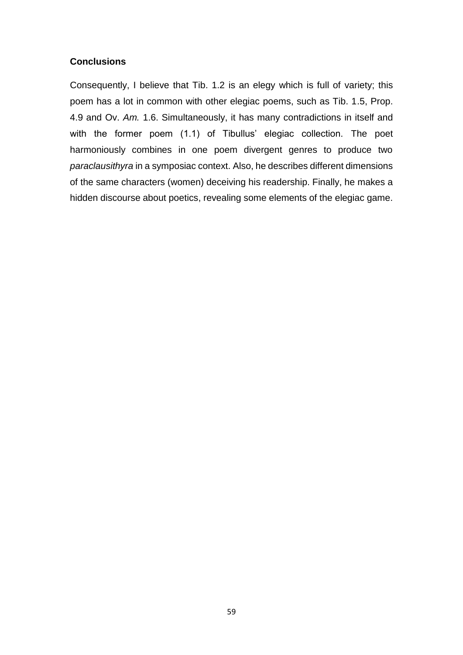## **Conclusions**

Consequently, I believe that Tib. 1.2 is an elegy which is full of variety; this poem has a lot in common with other elegiac poems, such as Tib. 1.5, Prop. 4.9 and Ov. *Am.* 1.6. Simultaneously, it has many contradictions in itself and with the former poem (1.1) of Tibullus' elegiac collection. The poet harmoniously combines in one poem divergent genres to produce two *paraclausithyra* in a symposiac context. Also, he describes different dimensions of the same characters (women) deceiving his readership. Finally, he makes a hidden discourse about poetics, revealing some elements of the elegiac game.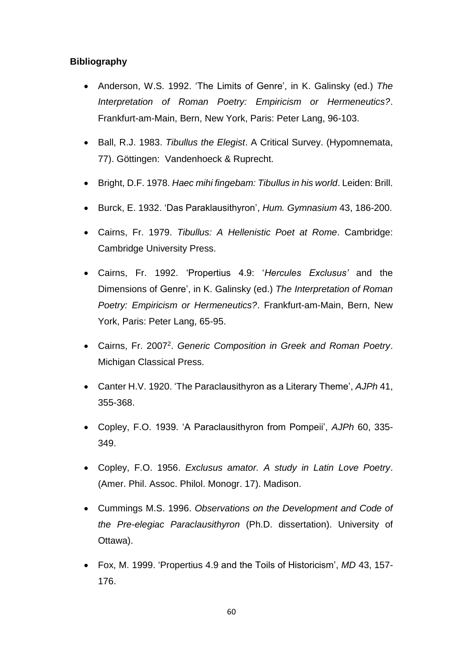## **Bibliography**

- Anderson, W.S. 1992. 'The Limits of Genre', in K. Galinsky (ed.) *The Interpretation of Roman Poetry: Empiricism or Hermeneutics?*. Frankfurt-am-Main, Bern, New York, Paris: Peter Lang, 96-103.
- Ball, R.J. 1983. *Tibullus the Elegist*. A Critical Survey. (Hypomnemata, 77). Göttingen: Vandenhoeck & Ruprecht.
- Bright, D.F. 1978. *Haec mihi fingebam: Tibullus in his world*. Leiden: Brill.
- Burck, E. 1932. 'Das Paraklausithyron', *Hum. Gymnasium* 43, 186-200.
- Cairns, Fr. 1979. *Tibullus: A Hellenistic Poet at Rome*. Cambridge: Cambridge University Press.
- Cairns, Fr. 1992. 'Propertius 4.9: '*Hercules Exclusus'* and the Dimensions of Genre', in K. Galinsky (ed.) *The Interpretation of Roman Poetry: Empiricism or Hermeneutics?*. Frankfurt-am-Main, Bern, New York, Paris: Peter Lang, 65-95.
- Cairns, Fr. 2007<sup>2</sup> . *Generic Composition in Greek and Roman Poetry*. Michigan Classical Press.
- Canter H.V. 1920. 'The Paraclausithyron as a Literary Theme', *AJPh* 41, 355-368.
- Copley, F.O. 1939. 'A Paraclausithyron from Pompeii', *AJPh* 60, 335- 349.
- Copley, F.O. 1956. *Exclusus amator. A study in Latin Love Poetry*. (Amer. Phil. Assoc. Philol. Monogr. 17). Madison.
- Cummings M.S. 1996. *Observations on the Development and Code of the Pre-elegiac Paraclausithyron* (Ph.D. dissertation). University of Ottawa).
- Fox, M. 1999. 'Propertius 4.9 and the Toils of Historicism', *MD* 43, 157- 176.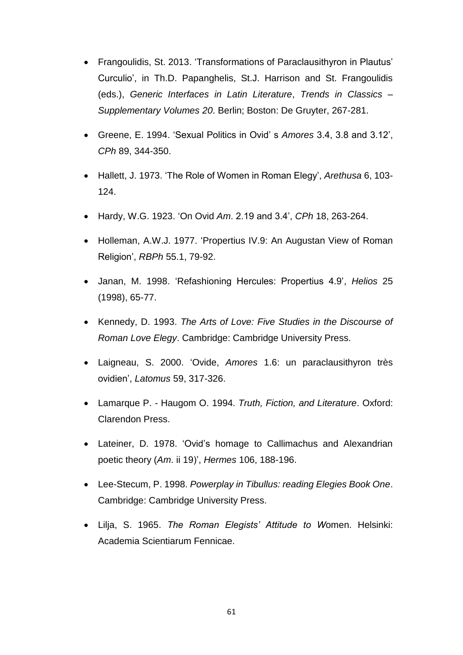- Frangoulidis, St. 2013. 'Transformations of Paraclausithyron in Plautus' Curculio', in Th.D. Papanghelis, St.J. Harrison and St. Frangoulidis (eds.), *Generic Interfaces in Latin Literature*, *Trends in Classics – Supplementary Volumes 20*. Berlin; Boston: De Gruyter, 267-281.
- Greene, E. 1994. 'Sexual Politics in Ovid' s *Amores* 3.4, 3.8 and 3.12', *CPh* 89, 344-350.
- Hallett, J. 1973. 'The Role of Women in Roman Elegy', *Arethusa* 6, 103- 124.
- Hardy, W.G. 1923. 'On Ovid *Am*. 2.19 and 3.4', *CPh* 18, 263-264.
- Holleman, A.W.J. 1977. 'Propertius IV.9: An Augustan View of Roman Religion', *RBPh* 55.1, 79-92.
- Janan, M. 1998. 'Refashioning Hercules: Propertius 4.9', *Helios* 25 (1998), 65-77.
- Kennedy, D. 1993. *The Arts of Love: Five Studies in the Discourse of Roman Love Elegy*. Cambridge: Cambridge University Press.
- Laigneau, S. 2000. 'Ovide, *Amores* 1.6: un paraclausithyron très ovidien', *Latomus* 59, 317-326.
- Lamarque P. Haugom O. 1994. *Truth, Fiction, and Literature*. Oxford: Clarendon Press.
- Lateiner, D. 1978. 'Ovid's homage to Callimachus and Alexandrian poetic theory (*Am*. ii 19)', *Hermes* 106, 188-196.
- Lee-Stecum, P. 1998. *Powerplay in Tibullus: reading Elegies Book One*. Cambridge: Cambridge University Press.
- Lilja, S. 1965. *The Roman Elegists' Attitude to W*omen. Helsinki: Academia Scientiarum Fennicae.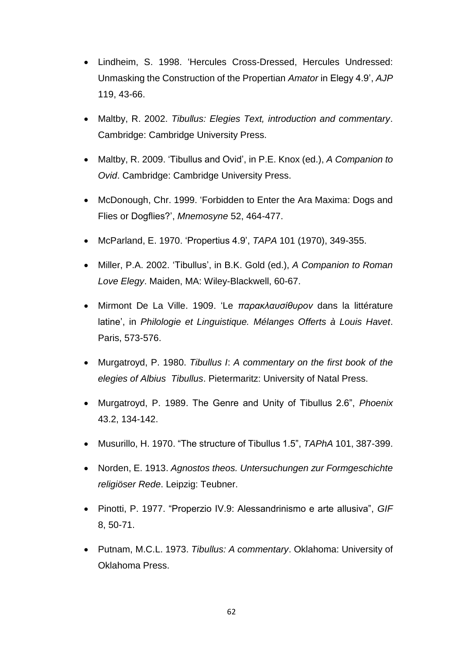- Lindheim, S. 1998. 'Hercules Cross-Dressed, Hercules Undressed: Unmasking the Construction of the Propertian *Amator* in Elegy 4.9', *AJP* 119, 43-66.
- Maltby, R. 2002. *Tibullus: Elegies Text, introduction and commentary*. Cambridge: Cambridge University Press.
- Maltby, R. 2009. 'Tibullus and Ovid', in P.E. Knox (ed.), *A Companion to Ovid*. Cambridge: Cambridge University Press.
- McDonough, Chr. 1999. 'Forbidden to Enter the Ara Maxima: Dogs and Flies or Dogflies?', *Mnemosyne* 52, 464-477.
- McParland, E. 1970. 'Propertius 4.9', *TAPA* 101 (1970), 349-355.
- Miller, P.A. 2002. 'Tibullus', in B.K. Gold (ed.), *A Companion to Roman Love Elegy*. Maiden, MA: Wiley-Blackwell, 60-67.
- Mirmont De La Ville. 1909. 'Le *παρακλαυσίθυρον* dans la littérature latine', in *Philologie et Linguistique. Mélanges Offerts à Louis Havet*. Paris, 573-576.
- Murgatroyd, P. 1980. *Tibullus I*: *A commentary on the first book of the elegies of Albius Tibullus*. Pietermaritz: University of Natal Press.
- Murgatroyd, P. 1989. The Genre and Unity of Tibullus 2.6", *Phoenix*  43.2, 134-142.
- Musurillo, H. 1970. "The structure of Tibullus 1.5", *TAPhA* 101, 387-399.
- Norden, E. 1913. *Agnostos theos. Untersuchungen zur Formgeschichte religiöser Rede*. Leipzig: Teubner.
- Pinotti, P. 1977. "Properzio IV.9: Alessandrinismo e arte allusiva", *GIF*  8, 50-71.
- Putnam, M.C.L. 1973. *Tibullus: A commentary*. Oklahoma: University of Oklahoma Press.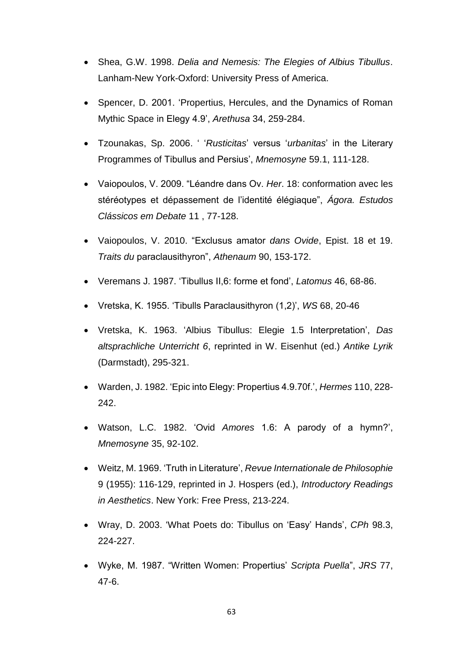- Shea, G.W. 1998. *Delia and Nemesis: The Elegies of Albius Tibullus*. Lanham-New York-Oxford: University Press of America.
- Spencer, D. 2001. 'Propertius, Hercules, and the Dynamics of Roman Mythic Space in Elegy 4.9', *Arethusa* 34, 259-284.
- Tzounakas, Sp. 2006. ' '*Rusticitas*' versus '*urbanitas*' in the Literary Programmes of Tibullus and Persius', *Mnemosyne* 59.1, 111-128.
- Vaiopoulos, V. 2009. "Léandre dans Ov. *Her*. 18: conformation avec les stéréotypes et dépassement de l'identité élégiaque", *Ágora. Estudos Clássicos em Debate* 11 , 77-128.
- Vaiopoulos, V. 2010. "Exclusus amator *dans Ovide*, Epist. 18 et 19. *Traits du* paraclausithyron", *Athenaum* 90, 153-172.
- Veremans J. 1987. 'Tibullus II,6: forme et fond', *Latomus* 46, 68-86.
- Vretska, K. 1955. 'Tibulls Paraclausithyron (1,2)', *WS* 68, 20-46
- Vretska, K. 1963. 'Albius Tibullus: Elegie 1.5 Interpretation', *Das altsprachliche Unterricht 6*, reprinted in W. Eisenhut (ed.) *Antike Lyrik* (Darmstadt), 295-321.
- Warden, J. 1982. 'Epic into Elegy: Propertius 4.9.70f.', *Hermes* 110, 228- 242.
- Watson, L.C. 1982. 'Ovid *Amores* 1.6: A parody of a hymn?', *Mnemosyne* 35, 92-102.
- Weitz, M. 1969. 'Truth in Literature', *Revue Internationale de Philosophie*  9 (1955): 116-129, reprinted in J. Hospers (ed.), *Introductory Readings in Aesthetics*. New York: Free Press, 213-224.
- Wray, D. 2003. 'What Poets do: Tibullus on 'Easy' Hands', *CPh* 98.3, 224-227.
- Wyke, M. 1987. "Written Women: Propertius' *Scripta Puella*", *JRS* 77, 47-6.